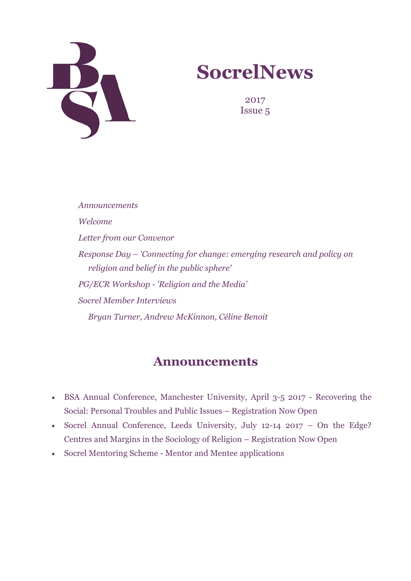

# **SocrelNews**

2017 Issue 5

*Announcements Welcome Letter from our Convenor Response Day – 'Connecting for change: emerging research and policy on religion and belief in the public sphere' PG/ECR Workshop - 'Religion and the Media' Socrel Member Interviews Bryan Turner, Andrew McKinnon, Céline Benoit*

### **Announcements**

- [BSA Annual Conference, Manchester University, April 3-5 2017 Recovering the](https://www.britsoc.co.uk/events/key-bsa-events/bsa-annual-conference/) [Social: Personal Troubles and Public Issues – Registration Now Open](https://www.britsoc.co.uk/events/key-bsa-events/bsa-annual-conference/)
- [Socrel Annual Conference, Leeds University, July 12-14 2017 On the Edge?](http://socrel.org.uk/sociology-of-religion-study-group-socrel-annual-conference-2017/) [Centres and Margins in the Sociology of Religion – Registration Now Open](http://socrel.org.uk/sociology-of-religion-study-group-socrel-annual-conference-2017/)
- [Socrel Mentoring Scheme Mentor and Mentee applications](http://socrel.org.uk/mentoring-scheme/)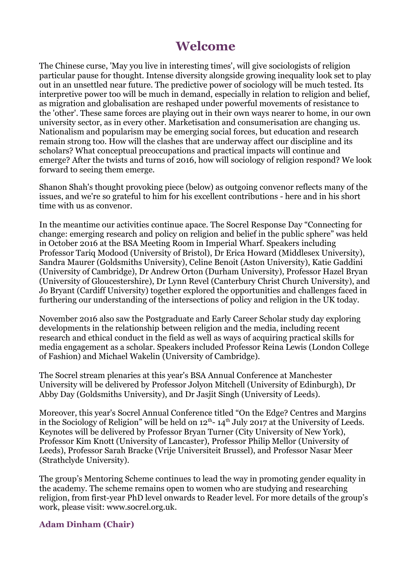## **Welcome**

The Chinese curse, 'May you live in interesting times', will give sociologists of religion particular pause for thought. Intense diversity alongside growing inequality look set to play out in an unsettled near future. The predictive power of sociology will be much tested. Its interpretive power too will be much in demand, especially in relation to religion and belief, as migration and globalisation are reshaped under powerful movements of resistance to the 'other'. These same forces are playing out in their own ways nearer to home, in our own university sector, as in every other. Marketisation and consumerisation are changing us. Nationalism and popularism may be emerging social forces, but education and research remain strong too. How will the clashes that are underway affect our discipline and its scholars? What conceptual preoccupations and practical impacts will continue and emerge? After the twists and turns of 2016, how will sociology of religion respond? We look forward to seeing them emerge.

Shanon Shah's thought provoking piece (below) as outgoing convenor reflects many of the issues, and we're so grateful to him for his excellent contributions - here and in his short time with us as convenor.

In the meantime our activities continue apace. The Socrel Response Day "Connecting for change: emerging research and policy on religion and belief in the public sphere" was held in October 2016 at the BSA Meeting Room in Imperial Wharf. Speakers including Professor Tariq Modood (University of Bristol), Dr Erica Howard (Middlesex University), Sandra Maurer (Goldsmiths University), Celine Benoit (Aston University), Katie Gaddini (University of Cambridge), Dr Andrew Orton (Durham University), Professor Hazel Bryan (University of Gloucestershire), Dr Lynn Revel (Canterbury Christ Church University), and Jo Bryant (Cardiff University) together explored the opportunities and challenges faced in furthering our understanding of the intersections of policy and religion in the UK today.

November 2016 also saw the Postgraduate and Early Career Scholar study day exploring developments in the relationship between religion and the media, including recent research and ethical conduct in the field as well as ways of acquiring practical skills for media engagement as a scholar. Speakers included Professor Reina Lewis (London College of Fashion) and Michael Wakelin (University of Cambridge).

The Socrel stream plenaries at this year's BSA Annual Conference at Manchester University will be delivered by Professor Jolyon Mitchell (University of Edinburgh), Dr Abby Day (Goldsmiths University), and Dr Jasjit Singh (University of Leeds).

Moreover, this year's Socrel Annual Conference titled "On the Edge? Centres and Margins in the Sociology of Religion" will be held on  $12^{th}$ -  $14^{th}$  July 2017 at the University of Leeds. Keynotes will be delivered by Professor Bryan Turner (City University of New York), Professor Kim Knott (University of Lancaster), Professor Philip Mellor (University of Leeds), Professor Sarah Bracke (Vrije Universiteit Brussel), and Professor Nasar Meer (Strathclyde University).

The group's Mentoring Scheme continues to lead the way in promoting gender equality in the academy. The scheme remains open to women who are studying and researching religion, from first-year PhD level onwards to Reader level. For more details of the group's work, please visit: [www.socrel.org.uk.](http://www.socrel.org.uk/)

#### **Adam Dinham (Chair)**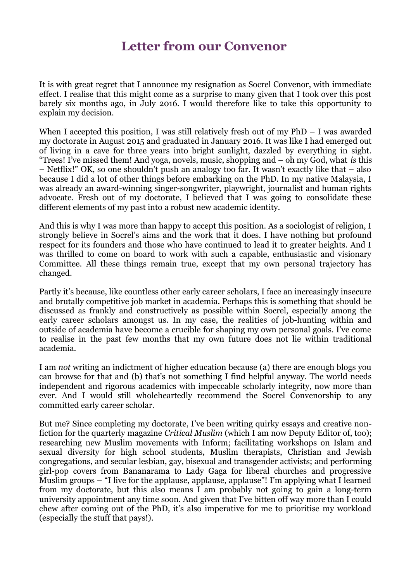### **Letter from our Convenor**

It is with great regret that I announce my resignation as Socrel Convenor, with immediate effect. I realise that this might come as a surprise to many given that I took over this post barely six months ago, in July 2016. I would therefore like to take this opportunity to explain my decision.

When I accepted this position, I was still relatively fresh out of my PhD – I was awarded my doctorate in August 2015 and graduated in January 2016. It was like I had emerged out of living in a cave for three years into bright sunlight, dazzled by everything in sight. "Trees! I've missed them! And yoga, novels, music, shopping and – oh my God, what *is* this – Netflix!" OK, so one shouldn't push an analogy too far. It wasn't exactly like that – also because I did a lot of other things before embarking on the PhD. In my native Malaysia, I was already an award-winning singer-songwriter, playwright, journalist and human rights advocate. Fresh out of my doctorate, I believed that I was going to consolidate these different elements of my past into a robust new academic identity.

And this is why I was more than happy to accept this position. As a sociologist of religion, I strongly believe in Socrel's aims and the work that it does. I have nothing but profound respect for its founders and those who have continued to lead it to greater heights. And I was thrilled to come on board to work with such a capable, enthusiastic and visionary Committee. All these things remain true, except that my own personal trajectory has changed.

Partly it's because, like countless other early career scholars, I face an increasingly insecure and brutally competitive job market in academia. Perhaps this is something that should be discussed as frankly and constructively as possible within Socrel, especially among the early career scholars amongst us. In my case, the realities of job-hunting within and outside of academia have become a crucible for shaping my own personal goals. I've come to realise in the past few months that my own future does not lie within traditional academia.

I am *not* writing an indictment of higher education because (a) there are enough blogs you can browse for that and (b) that's not something I find helpful anyway. The world needs independent and rigorous academics with impeccable scholarly integrity, now more than ever. And I would still wholeheartedly recommend the Socrel Convenorship to any committed early career scholar.

But me? Since completing my doctorate, I've been writing quirky essays and creative nonfiction for the quarterly magazine *Critical Muslim* (which I am now Deputy Editor of, too); researching new Muslim movements with Inform; facilitating workshops on Islam and sexual diversity for high school students, Muslim therapists, Christian and Jewish congregations, and secular lesbian, gay, bisexual and transgender activists; and performing girl-pop covers from Bananarama to Lady Gaga for liberal churches and progressive Muslim groups – "I live for the applause, applause, applause"! I'm applying what I learned from my doctorate, but this also means I am probably not going to gain a long-term university appointment any time soon. And given that I've bitten off way more than I could chew after coming out of the PhD, it's also imperative for me to prioritise my workload (especially the stuff that pays!).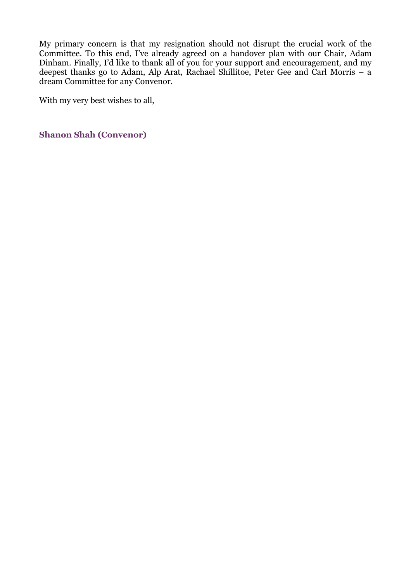My primary concern is that my resignation should not disrupt the crucial work of the Committee. To this end, I've already agreed on a handover plan with our Chair, Adam Dinham. Finally, I'd like to thank all of you for your support and encouragement, and my deepest thanks go to Adam, Alp Arat, Rachael Shillitoe, Peter Gee and Carl Morris – a dream Committee for any Convenor.

With my very best wishes to all,

**Shanon Shah (Convenor)**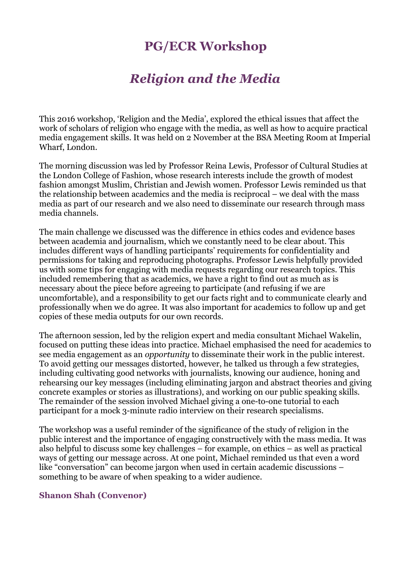# **PG/ECR Workshop**

# *Religion and the Media*

This 2016 workshop, 'Religion and the Media', explored the ethical issues that affect the work of scholars of religion who engage with the media, as well as how to acquire practical media engagement skills. It was held on 2 November at the BSA Meeting Room at Imperial Wharf, London.

The morning discussion was led by Professor Reina Lewis, Professor of Cultural Studies at the London College of Fashion, whose research interests include the growth of modest fashion amongst Muslim, Christian and Jewish women. Professor Lewis reminded us that the relationship between academics and the media is reciprocal – we deal with the mass media as part of our research and we also need to disseminate our research through mass media channels.

The main challenge we discussed was the difference in ethics codes and evidence bases between academia and journalism, which we constantly need to be clear about. This includes different ways of handling participants' requirements for confidentiality and permissions for taking and reproducing photographs. Professor Lewis helpfully provided us with some tips for engaging with media requests regarding our research topics. This included remembering that as academics, we have a right to find out as much as is necessary about the piece before agreeing to participate (and refusing if we are uncomfortable), and a responsibility to get our facts right and to communicate clearly and professionally when we do agree. It was also important for academics to follow up and get copies of these media outputs for our own records.

The afternoon session, led by the religion expert and media consultant Michael Wakelin, focused on putting these ideas into practice. Michael emphasised the need for academics to see media engagement as an *opportunity* to disseminate their work in the public interest. To avoid getting our messages distorted, however, he talked us through a few strategies, including cultivating good networks with journalists, knowing our audience, honing and rehearsing our key messages (including eliminating jargon and abstract theories and giving concrete examples or stories as illustrations), and working on our public speaking skills. The remainder of the session involved Michael giving a one-to-one tutorial to each participant for a mock 3-minute radio interview on their research specialisms.

The workshop was a useful reminder of the significance of the study of religion in the public interest and the importance of engaging constructively with the mass media. It was also helpful to discuss some key challenges – for example, on ethics – as well as practical ways of getting our message across. At one point, Michael reminded us that even a word like "conversation" can become jargon when used in certain academic discussions – something to be aware of when speaking to a wider audience.

#### **Shanon Shah (Convenor)**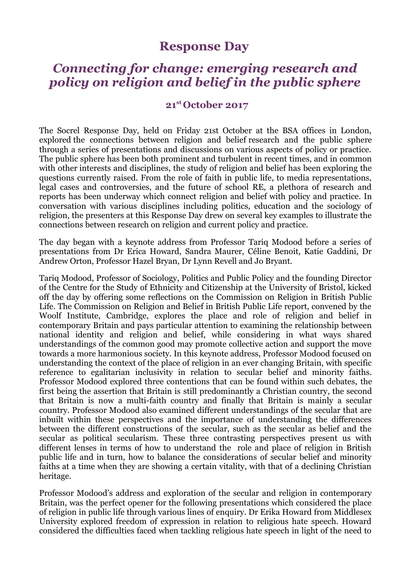### **Response Day**

### *Connecting for change: emerging research and policy on religion and belief in the public sphere*

#### **21st October 2017**

The Socrel Response Day, held on Friday 21st October at the BSA offices in London, explored the connections between religion and belief research and the public sphere through a series of presentations and discussions on various aspects of policy or practice. The public sphere has been both prominent and turbulent in recent times, and in common with other interests and disciplines, the study of religion and belief has been exploring the questions currently raised. From the role of faith in public life, to media representations, legal cases and controversies, and the future of school RE, a plethora of research and reports has been underway which connect religion and belief with policy and practice. In conversation with various disciplines including politics, education and the sociology of religion, the presenters at this Response Day drew on several key examples to illustrate the connections between research on religion and current policy and practice.

The day began with a keynote address from Professor Tariq Modood before a series of presentations from Dr Erica Howard, Sandra Maurer, Céline Benoit, Katie Gaddini, Dr Andrew Orton, Professor Hazel Bryan, Dr Lynn Revell and Jo Bryant.

Tariq Modood, Professor of Sociology, Politics and Public Policy and the founding Director of the Centre for the Study of Ethnicity and Citizenship at the University of Bristol, kicked off the day by offering some reflections on the Commission on Religion in British Public Life. The Commission on Religion and Belief in British Public Life report, convened by the Woolf Institute, Cambridge, explores the place and role of religion and belief in contemporary Britain and pays particular attention to examining the relationship between national identity and religion and belief, while considering in what ways shared understandings of the common good may promote collective action and support the move towards a more harmonious society. In this keynote address, Professor Modood focused on understanding the context of the place of religion in an ever changing Britain, with specific reference to egalitarian inclusivity in relation to secular belief and minority faiths. Professor Modood explored three contentions that can be found within such debates, the first being the assertion that Britain is still predominantly a Christian country, the second that Britain is now a multi-faith country and finally that Britain is mainly a secular country. Professor Modood also examined different understandings of the secular that are inbuilt within these perspectives and the importance of understanding the differences between the different constructions of the secular, such as the secular as belief and the secular as political secularism. These three contrasting perspectives present us with different lenses in terms of how to understand the role and place of religion in British public life and in turn, how to balance the considerations of secular belief and minority faiths at a time when they are showing a certain vitality, with that of a declining Christian heritage.

Professor Modood's address and exploration of the secular and religion in contemporary Britain, was the perfect opener for the following presentations which considered the place of religion in public life through various lines of enquiry. Dr Erika Howard from Middlesex University explored freedom of expression in relation to religious hate speech. Howard considered the difficulties faced when tackling religious hate speech in light of the need to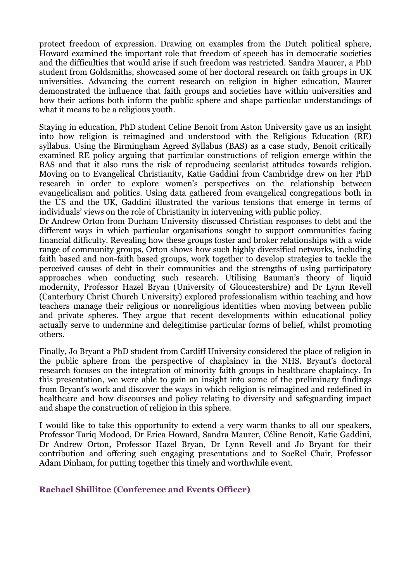protect freedom of expression. Drawing on examples from the Dutch political sphere, Howard examined the important role that freedom of speech has in democratic societies and the difficulties that would arise if such freedom was restricted. Sandra Maurer, a PhD student from Goldsmiths, showcased some of her doctoral research on faith groups in UK universities. Advancing the current research on religion in higher education, Maurer demonstrated the influence that faith groups and societies have within universities and how their actions both inform the public sphere and shape particular understandings of what it means to be a religious youth.

Staying in education, PhD student Celine Benoit from Aston University gave us an insight into how religion is reimagined and understood with the Religious Education (RE) syllabus. Using the Birmingham Agreed Syllabus (BAS) as a case study, Benoit critically examined RE policy arguing that particular constructions of religion emerge within the BAS and that it also runs the risk of reproducing secularist attitudes towards religion. Moving on to Evangelical Christianity, Katie Gaddini from Cambridge drew on her PhD research in order to explore women's perspectives on the relationship between evangelicalism and politics. Using data gathered from evangelical congregations both in the US and the UK, Gaddini illustrated the various tensions that emerge in terms of individuals' views on the role of Christianity in intervening with public policy.

Dr Andrew Orton from Durham University discussed Christian responses to debt and the different ways in which particular organisations sought to support communities facing financial difficulty. Revealing how these groups foster and broker relationships with a wide range of community groups, Orton shows how such highly diversified networks, including faith based and non-faith based groups, work together to develop strategies to tackle the perceived causes of debt in their communities and the strengths of using participatory approaches when conducting such research. Utilising Bauman's theory of liquid modernity, Professor Hazel Bryan (University of Gloucestershire) and Dr Lynn Revell (Canterbury Christ Church University) explored professionalism within teaching and how teachers manage their religious or nonreligious identities when moving between public and private spheres. They argue that recent developments within educational policy actually serve to undermine and delegitimise particular forms of belief, whilst promoting others.

Finally, Jo Bryant a PhD student from Cardiff University considered the place of religion in the public sphere from the perspective of chaplaincy in the NHS. Bryant's doctoral research focuses on the integration of minority faith groups in healthcare chaplaincy. In this presentation, we were able to gain an insight into some of the preliminary findings from Bryant's work and discover the ways in which religion is reimagined and redefined in healthcare and how discourses and policy relating to diversity and safeguarding impact and shape the construction of religion in this sphere.

I would like to take this opportunity to extend a very warm thanks to all our speakers, Professor Tariq Modood, Dr Erica Howard, Sandra Maurer, Céline Benoit, Katie Gaddini, Dr Andrew Orton, Professor Hazel Bryan, Dr Lynn Revell and Jo Bryant for their contribution and offering such engaging presentations and to SocRel Chair, Professor Adam Dinham, for putting together this timely and worthwhile event.

#### **Rachael Shillitoe (Conference and Events Officer)**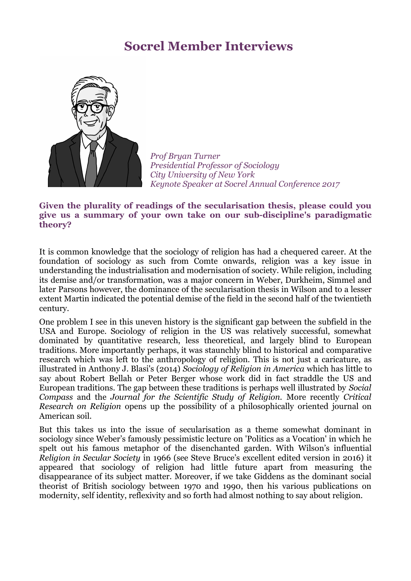## **Socrel Member Interviews**



 *Prof Bryan Turner Presidential Professor of Sociology City University of New York Keynote Speaker at Socrel Annual Conference 2017*

#### **Given the plurality of readings of the secularisation thesis, please could you give us a summary of your own take on our sub-discipline's paradigmatic theory?**

It is common knowledge that the sociology of religion has had a chequered career. At the foundation of sociology as such from Comte onwards, religion was a key issue in understanding the industrialisation and modernisation of society. While religion, including its demise and/or transformation, was a major concern in Weber, Durkheim, Simmel and later Parsons however, the dominance of the secularisation thesis in Wilson and to a lesser extent Martin indicated the potential demise of the field in the second half of the twientieth century.

One problem I see in this uneven history is the significant gap between the subfield in the USA and Europe. Sociology of religion in the US was relatively successful, somewhat dominated by quantitative research, less theoretical, and largely blind to European traditions. More importantly perhaps, it was staunchly blind to historical and comparative research which was left to the anthropology of religion. This is not just a caricature, as illustrated in Anthony J. Blasi's (2014) *Sociology of Religion in America* which has little to say about Robert Bellah or Peter Berger whose work did in fact straddle the US and European traditions. The gap between these traditions is perhaps well illustrated by *Social Compass* and the *Journal for the Scientific Study of Religion.* More recently *Critical Research on Religion* opens up the possibility of a philosophically oriented journal on American soil.

But this takes us into the issue of secularisation as a theme somewhat dominant in sociology since Weber's famously pessimistic lecture on 'Politics as a Vocation' in which he spelt out his famous metaphor of the disenchanted garden. With Wilson's influential *Religion in Secular Society* in 1966 (see Steve Bruce's excellent edited version in 2016) it appeared that sociology of religion had little future apart from measuring the disappearance of its subject matter. Moreover, if we take Giddens as the dominant social theorist of British sociology between 1970 and 1990, then his various publications on modernity, self identity, reflexivity and so forth had almost nothing to say about religion.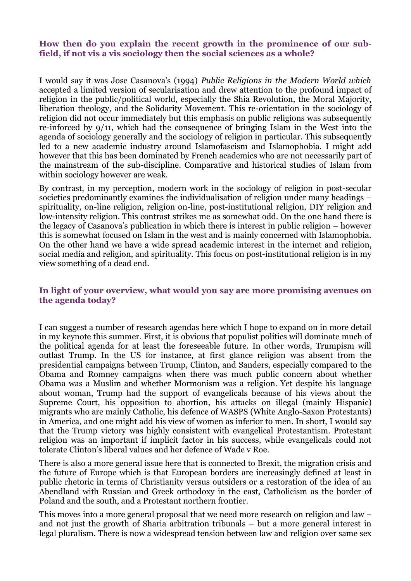#### **How then do you explain the recent growth in the prominence of our subfield, if not vis a vis sociology then the social sciences as a whole?**

I would say it was Jose Casanova's (1994) *Public Religions in the Modern World which* accepted a limited version of secularisation and drew attention to the profound impact of religion in the public/political world, especially the Shia Revolution, the Moral Majority, liberation theology, and the Solidarity Movement. This re-orientation in the sociology of religion did not occur immediately but this emphasis on public religions was subsequently re-inforced by 9/11, which had the consequence of bringing Islam in the West into the agenda of sociology generally and the sociology of religion in particular. This subsequently led to a new academic industry around Islamofascism and Islamophobia. I might add however that this has been dominated by French academics who are not necessarily part of the mainstream of the sub-discipline. Comparative and historical studies of Islam from within sociology however are weak.

By contrast, in my perception, modern work in the sociology of religion in post-secular societies predominantly examines the individualisation of religion under many headings – spirituality, on-line religion, religion on-line, post-institutional religion, DIY religion and low-intensity religion. This contrast strikes me as somewhat odd. On the one hand there is the legacy of Casanova's publication in which there is interest in public religion – however this is somewhat focused on Islam in the west and is mainly concerned with Islamophobia. On the other hand we have a wide spread academic interest in the internet and religion, social media and religion, and spirituality. This focus on post-institutional religion is in my view something of a dead end.

#### **In light of your overview, what would you say are more promising avenues on the agenda today?**

I can suggest a number of research agendas here which I hope to expand on in more detail in my keynote this summer. First, it is obvious that populist politics will dominate much of the political agenda for at least the foreseeable future. In other words, Trumpism will outlast Trump. In the US for instance, at first glance religion was absent from the presidential campaigns between Trump, Clinton, and Sanders, especially compared to the Obama and Romney campaigns when there was much public concern about whether Obama was a Muslim and whether Mormonism was a religion. Yet despite his language about woman, Trump had the support of evangelicals because of his views about the Supreme Court, his opposition to abortion, his attacks on illegal (mainly Hispanic) migrants who are mainly Catholic, his defence of WASPS (White Anglo-Saxon Protestants) in America, and one might add his view of women as inferior to men. In short, I would say that the Trump victory was highly consistent with evangelical Protestantism. Protestant religion was an important if implicit factor in his success, while evangelicals could not tolerate Clinton's liberal values and her defence of Wade v Roe.

There is also a more general issue here that is connected to Brexit, the migration crisis and the future of Europe which is that European borders are increasingly defined at least in public rhetoric in terms of Christianity versus outsiders or a restoration of the idea of an Abendland with Russian and Greek orthodoxy in the east, Catholicism as the border of Poland and the south, and a Protestant northern frontier.

This moves into a more general proposal that we need more research on religion and law – and not just the growth of Sharia arbitration tribunals – but a more general interest in legal pluralism. There is now a widespread tension between law and religion over same sex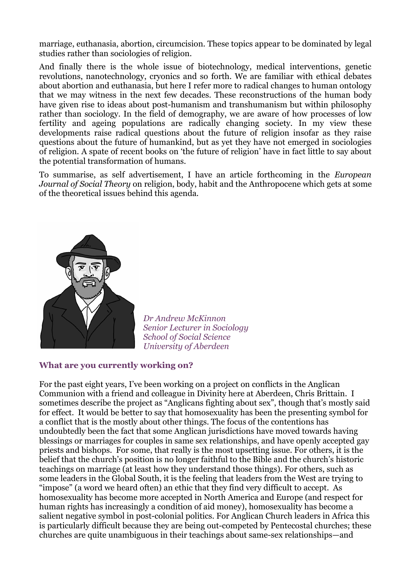marriage, euthanasia, abortion, circumcision. These topics appear to be dominated by legal studies rather than sociologies of religion.

And finally there is the whole issue of biotechnology, medical interventions, genetic revolutions, nanotechnology, cryonics and so forth. We are familiar with ethical debates about abortion and euthanasia, but here I refer more to radical changes to human ontology that we may witness in the next few decades. These reconstructions of the human body have given rise to ideas about post-humanism and transhumanism but within philosophy rather than sociology. In the field of demography, we are aware of how processes of low fertility and ageing populations are radically changing society. In my view these developments raise radical questions about the future of religion insofar as they raise questions about the future of humankind, but as yet they have not emerged in sociologies of religion. A spate of recent books on 'the future of religion' have in fact little to say about the potential transformation of humans.

To summarise, as self advertisement, I have an article forthcoming in the *European Journal of Social Theory* on religion, body, habit and the Anthropocene which gets at some of the theoretical issues behind this agenda.



 *Dr Andrew McKinnon Senior Lecturer in Sociology School of Social Science University of Aberdeen* 

#### **What are you currently working on?**

For the past eight years, I've been working on a project on conflicts in the Anglican Communion with a friend and colleague in Divinity here at Aberdeen, Chris Brittain. I sometimes describe the project as "Anglicans fighting about sex", though that's mostly said for effect. It would be better to say that homosexuality has been the presenting symbol for a conflict that is the mostly about other things. The focus of the contentions has undoubtedly been the fact that some Anglican jurisdictions have moved towards having blessings or marriages for couples in same sex relationships, and have openly accepted gay priests and bishops. For some, that really is the most upsetting issue. For others, it is the belief that the church's position is no longer faithful to the Bible and the church's historic teachings on marriage (at least how they understand those things). For others, such as some leaders in the Global South, it is the feeling that leaders from the West are trying to "impose" (a word we heard often) an ethic that they find very difficult to accept. As homosexuality has become more accepted in North America and Europe (and respect for human rights has increasingly a condition of aid money), homosexuality has become a salient negative symbol in post-colonial politics. For Anglican Church leaders in Africa this is particularly difficult because they are being out-competed by Pentecostal churches; these churches are quite unambiguous in their teachings about same-sex relationships—and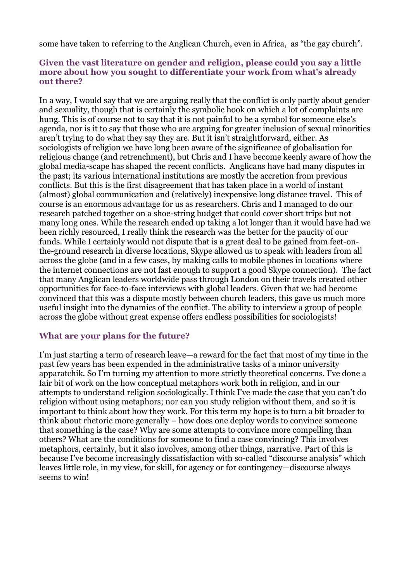some have taken to referring to the Anglican Church, even in Africa, as "the gay church".

#### **Given the vast literature on gender and religion, please could you say a little more about how you sought to differentiate your work from what's already out there?**

In a way, I would say that we are arguing really that the conflict is only partly about gender and sexuality, though that is certainly the symbolic hook on which a lot of complaints are hung. This is of course not to say that it is not painful to be a symbol for someone else's agenda, nor is it to say that those who are arguing for greater inclusion of sexual minorities aren't trying to do what they say they are. But it isn't straightforward, either. As sociologists of religion we have long been aware of the significance of globalisation for religious change (and retrenchment), but Chris and I have become keenly aware of how the global media-scape has shaped the recent conflicts. Anglicans have had many disputes in the past; its various international institutions are mostly the accretion from previous conflicts. But this is the first disagreement that has taken place in a world of instant (almost) global communication and (relatively) inexpensive long distance travel. This of course is an enormous advantage for us as researchers. Chris and I managed to do our research patched together on a shoe-string budget that could cover short trips but not many long ones. While the research ended up taking a lot longer than it would have had we been richly resourced, I really think the research was the better for the paucity of our funds. While I certainly would not dispute that is a great deal to be gained from feet-onthe-ground research in diverse locations, Skype allowed us to speak with leaders from all across the globe (and in a few cases, by making calls to mobile phones in locations where the internet connections are not fast enough to support a good Skype connection). The fact that many Anglican leaders worldwide pass through London on their travels created other opportunities for face-to-face interviews with global leaders. Given that we had become convinced that this was a dispute mostly between church leaders, this gave us much more useful insight into the dynamics of the conflict. The ability to interview a group of people across the globe without great expense offers endless possibilities for sociologists!

#### **What are your plans for the future?**

I'm just starting a term of research leave—a reward for the fact that most of my time in the past few years has been expended in the administrative tasks of a minor university apparatchik. So I'm turning my attention to more strictly theoretical concerns. I've done a fair bit of work on the how conceptual metaphors work both in religion, and in our attempts to understand religion sociologically. I think I've made the case that you can't do religion without using metaphors; nor can you study religion without them, and so it is important to think about how they work. For this term my hope is to turn a bit broader to think about rhetoric more generally – how does one deploy words to convince someone that something is the case? Why are some attempts to convince more compelling than others? What are the conditions for someone to find a case convincing? This involves metaphors, certainly, but it also involves, among other things, narrative. Part of this is because I've become increasingly dissatisfaction with so-called "discourse analysis" which leaves little role, in my view, for skill, for agency or for contingency—discourse always seems to win!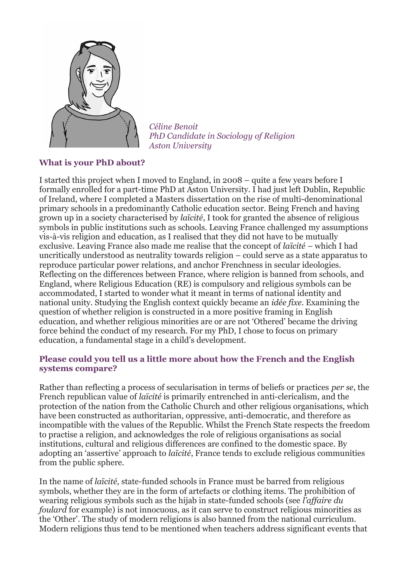

 *Céline Benoit PhD Candidate in Sociology of Religion Aston University*

#### **What is your PhD about?**

I started this project when I moved to England, in 2008 – quite a few years before I formally enrolled for a part-time PhD at Aston University. I had just left Dublin, Republic of Ireland, where I completed a Masters dissertation on the rise of multi-denominational primary schools in a predominantly Catholic education sector. Being French and having grown up in a society characterised by *laïcité*, I took for granted the absence of religious symbols in public institutions such as schools. Leaving France challenged my assumptions vis-à-vis religion and education, as I realised that they did not have to be mutually exclusive. Leaving France also made me realise that the concept of *laïcité* – which I had uncritically understood as neutrality towards religion – could serve as a state apparatus to reproduce particular power relations, and anchor Frenchness in secular ideologies. Reflecting on the differences between France, where religion is banned from schools, and England, where Religious Education (RE) is compulsory and religious symbols can be accommodated, I started to wonder what it meant in terms of national identity and national unity. Studying the English context quickly became an *idée fixe*. Examining the question of whether religion is constructed in a more positive framing in English education, and whether religious minorities are or are not 'Othered' became the driving force behind the conduct of my research. For my PhD, I chose to focus on primary education, a fundamental stage in a child's development.

#### **Please could you tell us a little more about how the French and the English systems compare?**

Rather than reflecting a process of secularisation in terms of beliefs or practices *per se*, the French republican value of *laïcité* is primarily entrenched in anti-clericalism, and the protection of the nation from the Catholic Church and other religious organisations, which have been constructed as authoritarian, oppressive, anti-democratic, and therefore as incompatible with the values of the Republic. Whilst the French State respects the freedom to practise a religion, and acknowledges the role of religious organisations as social institutions, cultural and religious differences are confined to the domestic space. By adopting an 'assertive' approach to *laïcité*, France tends to exclude religious communities from the public sphere.

In the name of *laïcité,* state-funded schools in France must be barred from religious symbols, whether they are in the form of artefacts or clothing items. The prohibition of wearing religious symbols such as the hijab in state-funded schools (see *l'affaire du foulard* for example) is not innocuous, as it can serve to construct religious minorities as the 'Other'. The study of modern religions is also banned from the national curriculum. Modern religions thus tend to be mentioned when teachers address significant events that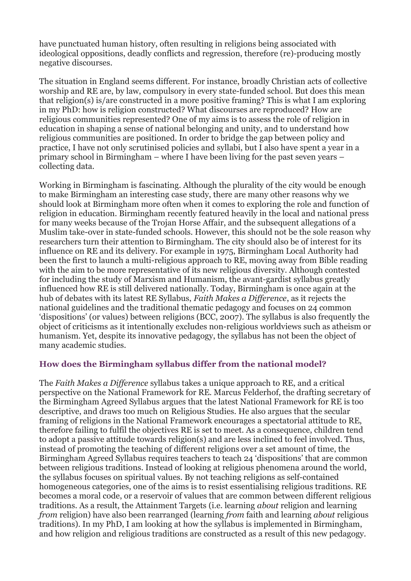have punctuated human history, often resulting in religions being associated with ideological oppositions, deadly conflicts and regression, therefore (re)-producing mostly negative discourses.

The situation in England seems different. For instance, broadly Christian acts of collective worship and RE are, by law, compulsory in every state-funded school. But does this mean that religion(s) is/are constructed in a more positive framing? This is what I am exploring in my PhD: how is religion constructed? What discourses are reproduced? How are religious communities represented? One of my aims is to assess the role of religion in education in shaping a sense of national belonging and unity, and to understand how religious communities are positioned. In order to bridge the gap between policy and practice, I have not only scrutinised policies and syllabi, but I also have spent a year in a primary school in Birmingham – where I have been living for the past seven years – collecting data.

Working in Birmingham is fascinating. Although the plurality of the city would be enough to make Birmingham an interesting case study, there are many other reasons why we should look at Birmingham more often when it comes to exploring the role and function of religion in education. Birmingham recently featured heavily in the local and national press for many weeks because of the Trojan Horse Affair, and the subsequent allegations of a Muslim take-over in state-funded schools. However, this should not be the sole reason why researchers turn their attention to Birmingham. The city should also be of interest for its influence on RE and its delivery. For example in 1975, Birmingham Local Authority had been the first to launch a multi-religious approach to RE, moving away from Bible reading with the aim to be more representative of its new religious diversity. Although contested for including the study of Marxism and Humanism, the avant-gardist syllabus greatly influenced how RE is still delivered nationally. Today, Birmingham is once again at the hub of debates with its latest RE Syllabus, *Faith Makes a Difference*, as it rejects the national guidelines and the traditional thematic pedagogy and focuses on 24 common 'dispositions' (or values) between religions (BCC, 2007). The syllabus is also frequently the object of criticisms as it intentionally excludes non-religious worldviews such as atheism or humanism. Yet, despite its innovative pedagogy, the syllabus has not been the object of many academic studies.

#### **How does the Birmingham syllabus differ from the national model?**

The *Faith Makes a Difference* syllabus takes a unique approach to RE, and a critical perspective on the National Framework for RE. Marcus Felderhof, the drafting secretary of the Birmingham Agreed Syllabus argues that the latest National Framework for RE is too descriptive, and draws too much on Religious Studies. He also argues that the secular framing of religions in the National Framework encourages a spectatorial attitude to RE, therefore failing to fulfil the objectives RE is set to meet. As a consequence, children tend to adopt a passive attitude towards religion(s) and are less inclined to feel involved. Thus, instead of promoting the teaching of different religions over a set amount of time, the Birmingham Agreed Syllabus requires teachers to teach 24 'dispositions' that are common between religious traditions. Instead of looking at religious phenomena around the world, the syllabus focuses on spiritual values. By not teaching religions as self-contained homogeneous categories, one of the aims is to resist essentialising religious traditions. RE becomes a moral code, or a reservoir of values that are common between different religious traditions. As a result, the Attainment Targets (i.e. learning *about* religion and learning *from* religion) have also been rearranged (learning *from* faith and learning *about* religious traditions). In my PhD, I am looking at how the syllabus is implemented in Birmingham, and how religion and religious traditions are constructed as a result of this new pedagogy.